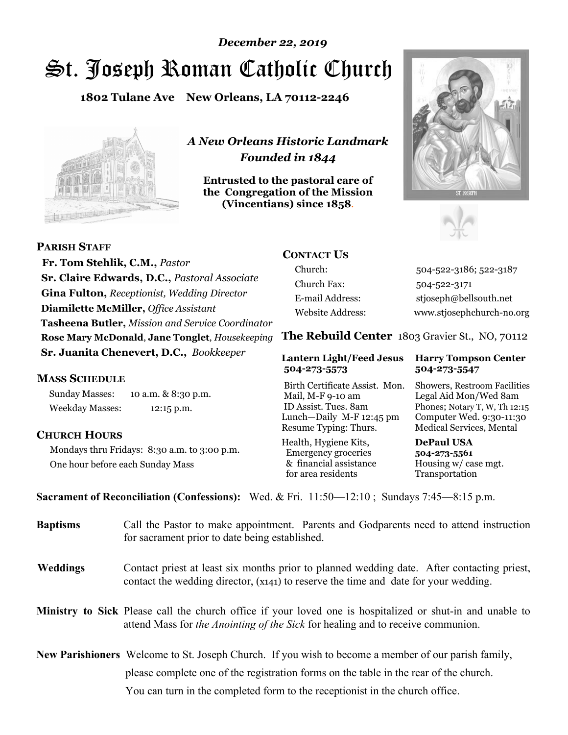# St. Joseph Roman Catholic Church *December 22, 2019*

**1802 Tulane Ave New Orleans, LA 70112-2246**



*A New Orleans Historic Landmark Founded in 1844* 

**Entrusted to the pastoral care of the Congregation of the Mission (Vincentians) since 1858**.





 **Fr. Tom Stehlik, C.M.,** *Pastor* **Sr. Claire Edwards, D.C.,** *Pastoral Associate* **Gina Fulton,** *Receptionist, Wedding Director* **Diamilette McMiller,** *Office Assistant* **Tasheena Butler,** *Mission and Service Coordinator* **Rose Mary McDonald**, **Jane Tonglet**, *Housekeeping* **Sr. Juanita Chenevert, D.C.,** *Bookkeeper* 

#### **MASS SCHEDULE**

**PARISH STAFF**

Sunday Masses: 10 a.m. & 8:30 p.m. Weekday Masses: 12:15 p.m.

### **CHURCH HOURS**

Mondays thru Fridays: 8:30 a.m. to 3:00 p.m. One hour before each Sunday Mass

# **CONTACT US**

Church: 504-522-3186; 522-3187 Church Fax: 504-522-3171 E-mail Address: stjoseph@bellsouth.net Website Address: www.stjosephchurch-no.org

**The Rebuild Center** 1803 Gravier St., NO, 70112

#### **Lantern Light/Feed Jesus Harry Tompson Center 504-273-5573 504-273-5547**

Birth Certificate Assist. Mon. Showers, Restroom Facilities Mail, M-F 9-10 am Legal Aid Mon/Wed 8am ID Assist. Tues. 8am Phones; Notary T, W, Th 12:15 Lunch—Daily M-F 12:45 pm Computer Wed. 9:30-11:30 Resume Typing: Thurs. Medical Services, Mental

Health, Hygiene Kits, **DePaul USA**  Emergency groceries **504-273-5561** & financial assistance Housing w/ case mgt. for area residents Transportation

**Sacrament of Reconciliation (Confessions):** Wed. & Fri. 11:50—12:10 ; Sundays 7:45—8:15 p.m.

| <b>Baptisms</b> | Call the Pastor to make appointment. Parents and Godparents need to attend instruction<br>for sacrament prior to date being established.                                                     |  |
|-----------------|----------------------------------------------------------------------------------------------------------------------------------------------------------------------------------------------|--|
| <b>Weddings</b> | Contact priest at least six months prior to planned wedding date. After contacting priest,<br>contact the wedding director, (x141) to reserve the time and date for your wedding.            |  |
|                 | Ministry to Sick Please call the church office if your loved one is hospitalized or shut-in and unable to<br>attend Mass for the Anointing of the Sick for healing and to receive communion. |  |
|                 | <b>New Parishioners</b> Welcome to St. Joseph Church. If you wish to become a member of our parish family,                                                                                   |  |
|                 | please complete one of the registration forms on the table in the rear of the church.                                                                                                        |  |
|                 | You can turn in the completed form to the reception is the church office.                                                                                                                    |  |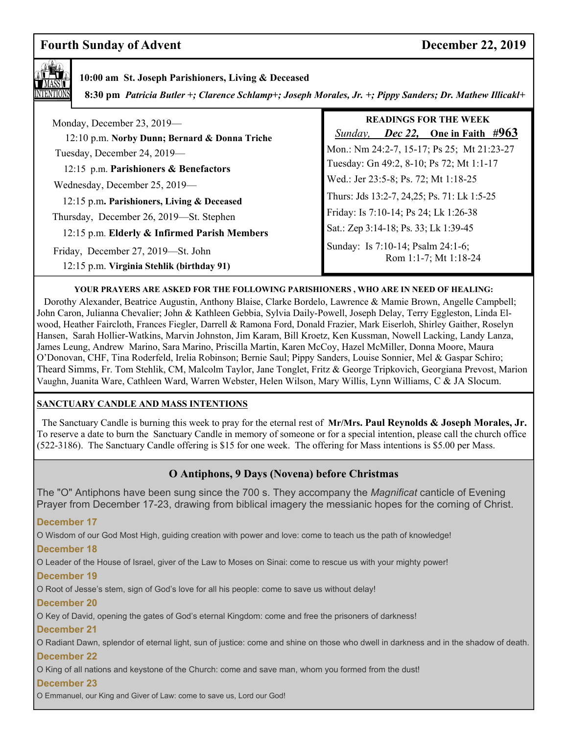# **Fourth Sunday of Advent December 22, 2019**



## **10:00 am St. Joseph Parishioners, Living & Deceased**

 **8:30 pm** *Patricia Butler +; Clarence Schlamp+; Joseph Morales, Jr. +; Pippy Sanders; Dr. Mathew Illicakl+*

| Monday, December 23, 2019-<br>12:10 p.m. Norby Dunn; Bernard & Donna Triche     | <b>READINGS FOR THE WEEK</b><br><i>Dec 22</i> , One in Faith $\#963$<br>Sunday, |
|---------------------------------------------------------------------------------|---------------------------------------------------------------------------------|
| Tuesday, December 24, 2019-                                                     | Mon.: Nm 24:2-7, 15-17; Ps 25; Mt 21:23-27                                      |
| 12:15 p.m. Parishioners & Benefactors                                           | Tuesday: Gn 49:2, 8-10; Ps 72; Mt 1:1-17                                        |
| Wednesday, December 25, 2019-                                                   | Wed.: Jer 23:5-8; Ps. 72; Mt 1:18-25                                            |
| 12:15 p.m. Parishioners, Living & Deceased                                      | Thurs: Jds 13:2-7, 24,25; Ps. 71: Lk 1:5-25                                     |
| Thursday, December 26, 2019—St. Stephen                                         | Friday: Is 7:10-14; Ps 24; Lk 1:26-38                                           |
| 12:15 p.m. Elderly & Infirmed Parish Members                                    | Sat.: Zep 3:14-18; Ps. 33; Lk 1:39-45                                           |
| Friday, December 27, 2019—St. John<br>12:15 p.m. Virginia Stehlik (birthday 91) | Sunday: Is 7:10-14; Psalm 24:1-6;<br>Rom 1:1-7; Mt 1:18-24                      |

#### **YOUR PRAYERS ARE ASKED FOR THE FOLLOWING PARISHIONERS , WHO ARE IN NEED OF HEALING:**

 Dorothy Alexander, Beatrice Augustin, Anthony Blaise, Clarke Bordelo, Lawrence & Mamie Brown, Angelle Campbell; John Caron, Julianna Chevalier; John & Kathleen Gebbia, Sylvia Daily-Powell, Joseph Delay, Terry Eggleston, Linda Elwood, Heather Faircloth, Frances Fiegler, Darrell & Ramona Ford, Donald Frazier, Mark Eiserloh, Shirley Gaither, Roselyn Hansen, Sarah Hollier-Watkins, Marvin Johnston, Jim Karam, Bill Kroetz, Ken Kussman, Nowell Lacking, Landy Lanza, James Leung, Andrew Marino, Sara Marino, Priscilla Martin, Karen McCoy, Hazel McMiller, Donna Moore, Maura O'Donovan, CHF, Tina Roderfeld, Irelia Robinson; Bernie Saul; Pippy Sanders, Louise Sonnier, Mel & Gaspar Schiro; Theard Simms, Fr. Tom Stehlik, CM, Malcolm Taylor, Jane Tonglet, Fritz & George Tripkovich, Georgiana Prevost, Marion Vaughn, Juanita Ware, Cathleen Ward, Warren Webster, Helen Wilson, Mary Willis, Lynn Williams, C & JA Slocum.

#### **SANCTUARY CANDLE AND MASS INTENTIONS**

 The Sanctuary Candle is burning this week to pray for the eternal rest of **Mr/Mrs. Paul Reynolds & Joseph Morales, Jr.**  To reserve a date to burn the Sanctuary Candle in memory of someone or for a special intention, please call the church office (522-3186). The Sanctuary Candle offering is \$15 for one week. The offering for Mass intentions is \$5.00 per Mass.

### **O Antiphons, 9 Days (Novena) before Christmas**

The "O" Antiphons have been sung since the 700 s. They accompany the *Magnificat* canticle of Evening Prayer from December 17-23, drawing from biblical imagery the messianic hopes for the coming of Christ.

**December 17** 

O Wisdom of our God Most High, guiding creation with power and love: come to teach us the path of knowledge!

#### **December 18**

O Leader of the House of Israel, giver of the Law to Moses on Sinai: come to rescue us with your mighty power!

#### **December 19**

O Root of Jesse's stem, sign of God's love for all his people: come to save us without delay!

#### **December 20**

O Key of David, opening the gates of God's eternal Kingdom: come and free the prisoners of darkness!

#### **December 21**

O Radiant Dawn, splendor of eternal light, sun of justice: come and shine on those who dwell in darkness and in the shadow of death. **December 22** 

O King of all nations and keystone of the Church: come and save man, whom you formed from the dust!

#### **December 23**

O Emmanuel, our King and Giver of Law: come to save us, Lord our God!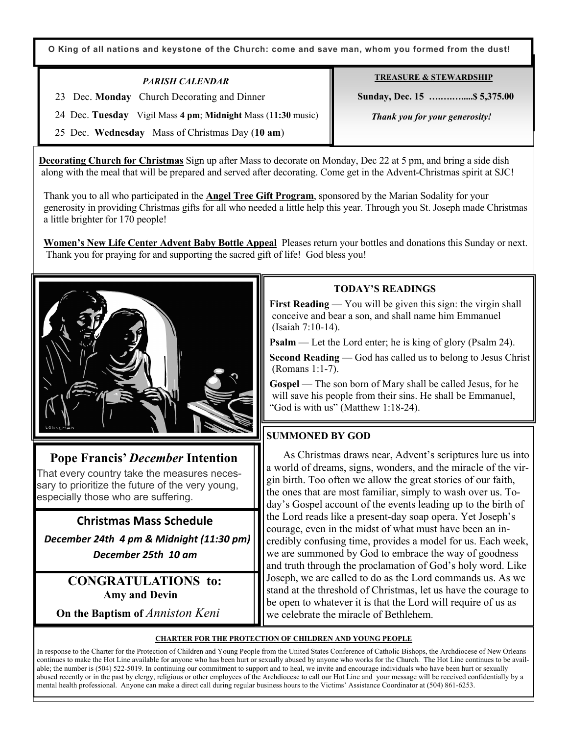**O King of all nations and keystone of the Church: come and save man, whom you formed from the dust!**

### *PARISH CALENDAR*

23 Dec. **Monday** Church Decorating and Dinner

**TREASURE & STEWARDSHIP**

 **Sunday, Dec. 15 ….….….....\$ 5,375.00** 

 *Thank you for your generosity!* 

24 Dec. **Tuesday** Vigil Mass **4 pm**; **Midnight** Mass (**11:30** music)

25 Dec. **Wednesday** Mass of Christmas Day (**10 am**)

 **Decorating Church for Christmas** Sign up after Mass to decorate on Monday, Dec 22 at 5 pm, and bring a side dish along with the meal that will be prepared and served after decorating. Come get in the Advent-Christmas spirit at SJC!

 Thank you to all who participated in the **Angel Tree Gift Program**, sponsored by the Marian Sodality for your generosity in providing Christmas gifts for all who needed a little help this year. Through you St. Joseph made Christmas a little brighter for 170 people!

 **Women's New Life Center Advent Baby Bottle Appeal** Pleases return your bottles and donations this Sunday or next. Thank you for praying for and supporting the sacred gift of life! God bless you!



# **Pope Francis'** *December* **Intention**

That every country take the measures necessary to prioritize the future of the very young, especially those who are suffering.

**Christmas Mass Schedule**   *December 24th 4 pm & Midnight (11:30 pm)* 

*December 25th 10 am* 

**CONGRATULATIONS to: Amy and Devin** 

 **On the Baptism of** *Anniston Keni*

# **TODAY'S READINGS**

**First Reading** — You will be given this sign: the virgin shall conceive and bear a son, and shall name him Emmanuel (Isaiah 7:10-14).

**Psalm** — Let the Lord enter; he is king of glory (Psalm 24).

**Second Reading** — God has called us to belong to Jesus Christ (Romans 1:1-7).

 **Gospel** — The son born of Mary shall be called Jesus, for he will save his people from their sins. He shall be Emmanuel, "God is with us" (Matthew 1:18-24).

# **SUMMONED BY GOD**

As Christmas draws near, Advent's scriptures lure us into a world of dreams, signs, wonders, and the miracle of the virgin birth. Too often we allow the great stories of our faith, the ones that are most familiar, simply to wash over us. Today's Gospel account of the events leading up to the birth of the Lord reads like a present-day soap opera. Yet Joseph's courage, even in the midst of what must have been an incredibly confusing time, provides a model for us. Each week, we are summoned by God to embrace the way of goodness and truth through the proclamation of God's holy word. Like Joseph, we are called to do as the Lord commands us. As we stand at the threshold of Christmas, let us have the courage to be open to whatever it is that the Lord will require of us as we celebrate the miracle of Bethlehem.

#### **CHARTER FOR THE PROTECTION OF CHILDREN AND YOUNG PEOPLE**

In response to the Charter for the Protection of Children and Young People from the United States Conference of Catholic Bishops, the Archdiocese of New Orleans continues to make the Hot Line available for anyone who has been hurt or sexually abused by anyone who works for the Church. The Hot Line continues to be available; the number is (504) 522-5019. In continuing our commitment to support and to heal, we invite and encourage individuals who have been hurt or sexually abused recently or in the past by clergy, religious or other employees of the Archdiocese to call our Hot Line and your message will be received confidentially by a mental health professional. Anyone can make a direct call during regular business hours to the Victims' Assistance Coordinator at (504) 861-6253.